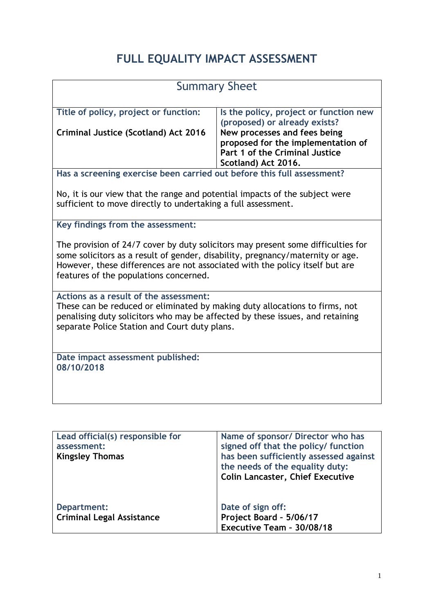## **FULL EQUALITY IMPACT ASSESSMENT**

| <b>Summary Sheet</b>                                                                                                                                                                                                                                                                         |                                                                                                                             |  |
|----------------------------------------------------------------------------------------------------------------------------------------------------------------------------------------------------------------------------------------------------------------------------------------------|-----------------------------------------------------------------------------------------------------------------------------|--|
| Title of policy, project or function:                                                                                                                                                                                                                                                        | Is the policy, project or function new<br>(proposed) or already exists?                                                     |  |
| <b>Criminal Justice (Scotland) Act 2016</b>                                                                                                                                                                                                                                                  | New processes and fees being<br>proposed for the implementation of<br>Part 1 of the Criminal Justice<br>Scotland) Act 2016. |  |
| Has a screening exercise been carried out before this full assessment?                                                                                                                                                                                                                       |                                                                                                                             |  |
| No, it is our view that the range and potential impacts of the subject were<br>sufficient to move directly to undertaking a full assessment.                                                                                                                                                 |                                                                                                                             |  |
| Key findings from the assessment:                                                                                                                                                                                                                                                            |                                                                                                                             |  |
| The provision of 24/7 cover by duty solicitors may present some difficulties for<br>some solicitors as a result of gender, disability, pregnancy/maternity or age.<br>However, these differences are not associated with the policy itself but are<br>features of the populations concerned. |                                                                                                                             |  |
| Actions as a result of the assessment:<br>These can be reduced or eliminated by making duty allocations to firms, not<br>penalising duty solicitors who may be affected by these issues, and retaining<br>separate Police Station and Court duty plans.                                      |                                                                                                                             |  |
| Date impact assessment published:<br>08/10/2018                                                                                                                                                                                                                                              |                                                                                                                             |  |
|                                                                                                                                                                                                                                                                                              |                                                                                                                             |  |

| Lead official(s) responsible for | Name of sponsor/ Director who has       |
|----------------------------------|-----------------------------------------|
| assessment:                      | signed off that the policy/ function    |
| <b>Kingsley Thomas</b>           | has been sufficiently assessed against  |
|                                  | the needs of the equality duty:         |
|                                  | <b>Colin Lancaster, Chief Executive</b> |
|                                  |                                         |
|                                  |                                         |
| Department:                      | Date of sign off:                       |
| <b>Criminal Legal Assistance</b> | Project Board - 5/06/17                 |
|                                  | Executive Team - 30/08/18               |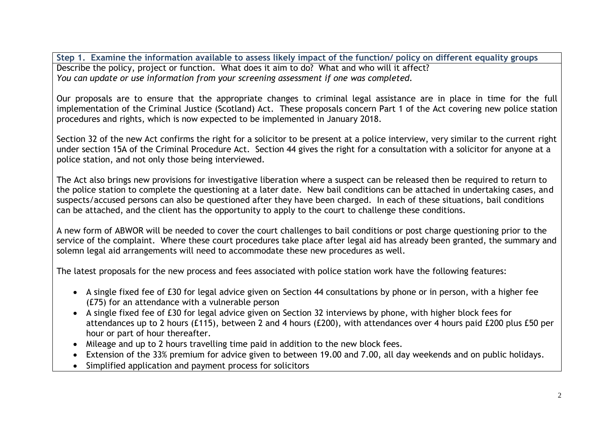**Step 1. Examine the information available to assess likely impact of the function/ policy on different equality groups** Describe the policy, project or function. What does it aim to do? What and who will it affect? *You can update or use information from your screening assessment if one was completed.*

Our proposals are to ensure that the appropriate changes to criminal legal assistance are in place in time for the full implementation of the Criminal Justice (Scotland) Act. These proposals concern Part 1 of the Act covering new police station procedures and rights, which is now expected to be implemented in January 2018.

Section 32 of the new Act confirms the right for a solicitor to be present at a police interview, very similar to the current right under section 15A of the Criminal Procedure Act. Section 44 gives the right for a consultation with a solicitor for anyone at a police station, and not only those being interviewed.

The Act also brings new provisions for investigative liberation where a suspect can be released then be required to return to the police station to complete the questioning at a later date. New bail conditions can be attached in undertaking cases, and suspects/accused persons can also be questioned after they have been charged. In each of these situations, bail conditions can be attached, and the client has the opportunity to apply to the court to challenge these conditions.

A new form of ABWOR will be needed to cover the court challenges to bail conditions or post charge questioning prior to the service of the complaint. Where these court procedures take place after legal aid has already been granted, the summary and solemn legal aid arrangements will need to accommodate these new procedures as well.

The latest proposals for the new process and fees associated with police station work have the following features:

- A single fixed fee of £30 for legal advice given on Section 44 consultations by phone or in person, with a higher fee (£75) for an attendance with a vulnerable person
- A single fixed fee of £30 for legal advice given on Section 32 interviews by phone, with higher block fees for attendances up to 2 hours (£115), between 2 and 4 hours (£200), with attendances over 4 hours paid £200 plus £50 per hour or part of hour thereafter.
- Mileage and up to 2 hours travelling time paid in addition to the new block fees.
- Extension of the 33% premium for advice given to between 19.00 and 7.00, all day weekends and on public holidays.
- Simplified application and payment process for solicitors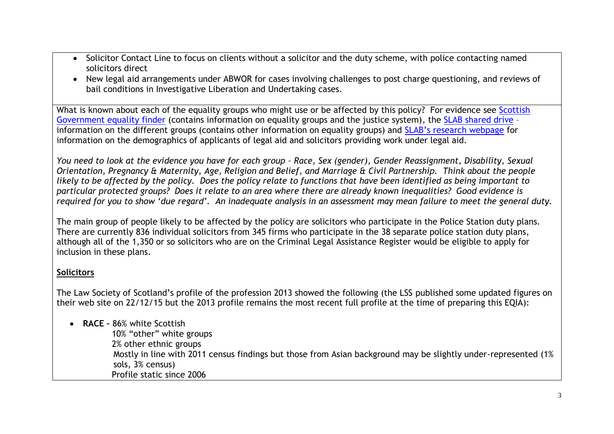- Solicitor Contact Line to focus on clients without a solicitor and the duty scheme, with police contacting named solicitors direct
- New legal aid arrangements under ABWOR for cases involving challenges to post charge questioning, and reviews of bail conditions in Investigative Liberation and Undertaking cases.

What is known about each of the equality groups who might use or be affected by this policy? For evidence see Scottish [Government equality finder](http://www.scotland.gov.uk/Topics/People/Equality/Equalities/DataGrid) (contains information on equality groups and the justice system), the [SLAB shared drive](file://///cifssata/Common/Common/Shared/Equalities/Equality%20information/The%20different%20equality%20groups) – information on the different groups (contains other information on equality groups) and S[LAB's research webpage](http://www.slab.org.uk/about-us/what-we-do/research/index.html) for information on the demographics of applicants of legal aid and solicitors providing work under legal aid.

*You need to look at the evidence you have for each group – Race, Sex (gender), Gender Reassignment, Disability, Sexual Orientation, Pregnancy & Maternity, Age, Religion and Belief, and Marriage & Civil Partnership. Think about the people likely to be affected by the policy. Does the policy relate to functions that have been identified as being important to particular protected groups? Does it relate to an area where there are already known inequalities? Good evidence is required for you to show 'due regard'. An inadequate analysis in an assessment may mean failure to meet the general duty.*

The main group of people likely to be affected by the policy are solicitors who participate in the Police Station duty plans. There are currently 836 individual solicitors from 345 firms who participate in the 38 separate police station duty plans, although all of the 1,350 or so solicitors who are on the Criminal Legal Assistance Register would be eligible to apply for inclusion in these plans.

## **Solicitors**

The Law Society of Scotland's profile of the profession 2013 showed the following (the LSS published some updated figures on their web site on 22/12/15 but the 2013 profile remains the most recent full profile at the time of preparing this EQIA):

**RACE –** 86% white Scottish

 10% "other" white groups 2% other ethnic groups Mostly in line with 2011 census findings but those from Asian background may be slightly under-represented (1% sols, 3% census) Profile static since 2006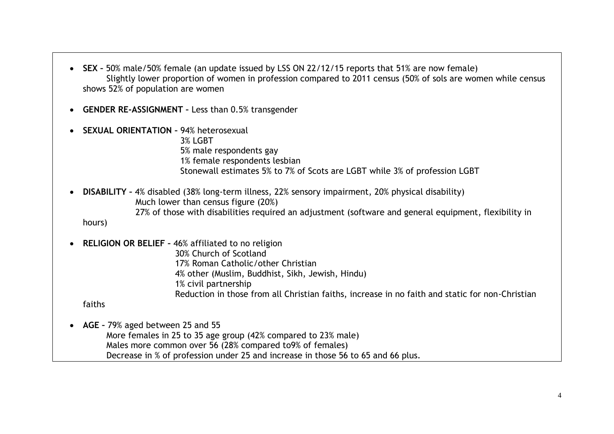- **SEX –** 50% male/50% female (an update issued by LSS ON 22/12/15 reports that 51% are now female) Slightly lower proportion of women in profession compared to 2011 census (50% of sols are women while census shows 52% of population are women
- **GENDER RE-ASSIGNMENT –** Less than 0.5% transgender
- **SEXUAL ORIENTATION –** 94% heterosexual 3% LGBT 5% male respondents gay 1% female respondents lesbian Stonewall estimates 5% to 7% of Scots are LGBT while 3% of profession LGBT

 **DISABILITY –** 4% disabled (38% long-term illness, 22% sensory impairment, 20% physical disability) Much lower than census figure (20%) 27% of those with disabilities required an adjustment (software and general equipment, flexibility in hours)

**RELIGION OR BELIEF –** 46% affiliated to no religion

30% Church of Scotland 17% Roman Catholic/other Christian 4% other (Muslim, Buddhist, Sikh, Jewish, Hindu) 1% civil partnership Reduction in those from all Christian faiths, increase in no faith and static for non-Christian

faiths

 **AGE –** 79% aged between 25 and 55 More females in 25 to 35 age group (42% compared to 23% male) Males more common over 56 (28% compared to9% of females) Decrease in % of profession under 25 and increase in those 56 to 65 and 66 plus.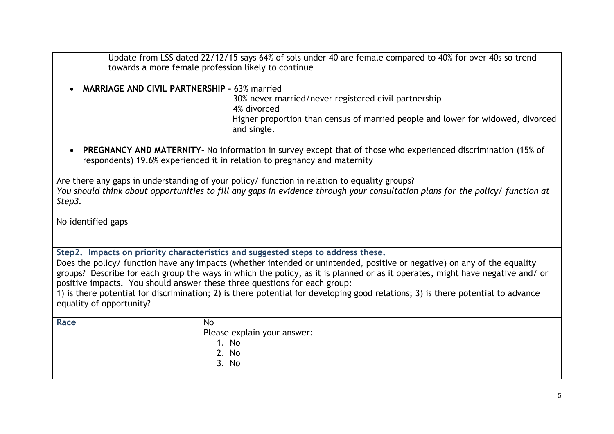Update from LSS dated 22/12/15 says 64% of sols under 40 are female compared to 40% for over 40s so trend towards a more female profession likely to continue

**MARRIAGE AND CIVIL PARTNERSHIP –** 63% married

 30% never married/never registered civil partnership 4% divorced Higher proportion than census of married people and lower for widowed, divorced and single.

 **PREGNANCY AND MATERNITY-** No information in survey except that of those who experienced discrimination (15% of respondents) 19.6% experienced it in relation to pregnancy and maternity

Are there any gaps in understanding of your policy/ function in relation to equality groups? *You should think about opportunities to fill any gaps in evidence through your consultation plans for the policy/ function at Step3.*

No identified gaps

**Step2. Impacts on priority characteristics and suggested steps to address these.**

Does the policy/ function have any impacts (whether intended or unintended, positive or negative) on any of the equality groups? Describe for each group the ways in which the policy, as it is planned or as it operates, might have negative and/ or positive impacts. You should answer these three questions for each group:

1) is there potential for discrimination; 2) is there potential for developing good relations; 3) is there potential to advance equality of opportunity?

| Race | No                          |
|------|-----------------------------|
|      | Please explain your answer: |
|      | No                          |
|      | 2. No                       |
|      | No<br>3.                    |
|      |                             |
|      |                             |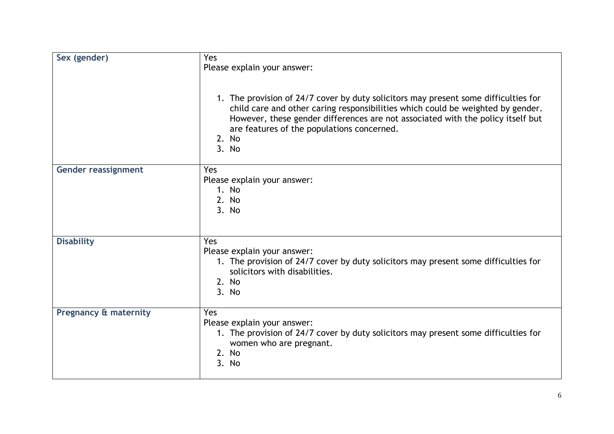| Sex (gender)                     | Yes<br>Please explain your answer:<br>1. The provision of 24/7 cover by duty solicitors may present some difficulties for<br>child care and other caring responsibilities which could be weighted by gender.<br>However, these gender differences are not associated with the policy itself but<br>are features of the populations concerned.<br>2. No<br>3. No |
|----------------------------------|-----------------------------------------------------------------------------------------------------------------------------------------------------------------------------------------------------------------------------------------------------------------------------------------------------------------------------------------------------------------|
| Gender reassignment              | Yes<br>Please explain your answer:<br>1. No<br>2. No<br>3. No                                                                                                                                                                                                                                                                                                   |
| <b>Disability</b>                | Yes<br>Please explain your answer:<br>1. The provision of 24/7 cover by duty solicitors may present some difficulties for<br>solicitors with disabilities.<br>2. No<br>3. No                                                                                                                                                                                    |
| <b>Pregnancy &amp; maternity</b> | Yes<br>Please explain your answer:<br>1. The provision of 24/7 cover by duty solicitors may present some difficulties for<br>women who are pregnant.<br>2. No<br>3. No                                                                                                                                                                                          |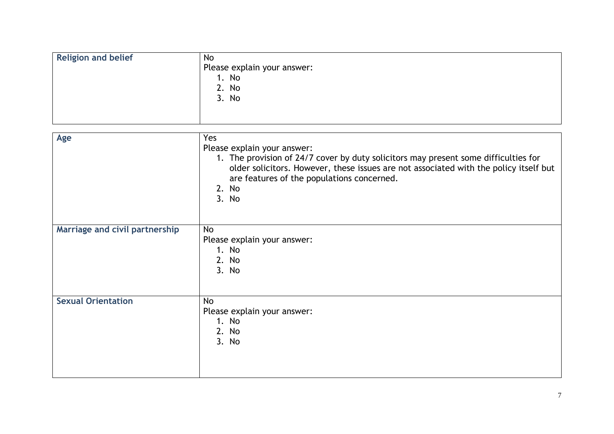| <b>Religion and belief</b><br>No<br>Please explain your answer:<br>1. No<br>2. No<br>3. No |
|--------------------------------------------------------------------------------------------|
|--------------------------------------------------------------------------------------------|

| Age                            | Yes<br>Please explain your answer:<br>1. The provision of 24/7 cover by duty solicitors may present some difficulties for<br>older solicitors. However, these issues are not associated with the policy itself but<br>are features of the populations concerned.<br>2. No<br>3. No |
|--------------------------------|------------------------------------------------------------------------------------------------------------------------------------------------------------------------------------------------------------------------------------------------------------------------------------|
| Marriage and civil partnership | No<br>Please explain your answer:<br>1. No<br>2. No<br>3. No                                                                                                                                                                                                                       |
| <b>Sexual Orientation</b>      | No<br>Please explain your answer:<br>1. No<br>2. No<br>3. No                                                                                                                                                                                                                       |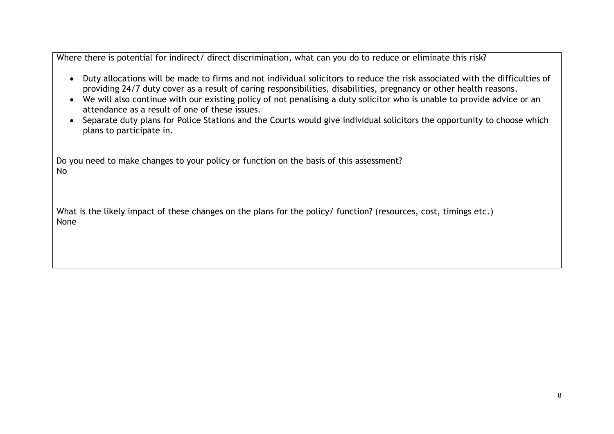Where there is potential for indirect/ direct discrimination, what can you do to reduce or eliminate this risk?

- Duty allocations will be made to firms and not individual solicitors to reduce the risk associated with the difficulties of providing 24/7 duty cover as a result of caring responsibilities, disabilities, pregnancy or other health reasons.
- We will also continue with our existing policy of not penalising a duty solicitor who is unable to provide advice or an attendance as a result of one of these issues.
- Separate duty plans for Police Stations and the Courts would give individual solicitors the opportunity to choose which plans to participate in.

Do you need to make changes to your policy or function on the basis of this assessment? No

What is the likely impact of these changes on the plans for the policy/ function? (resources, cost, timings etc.) None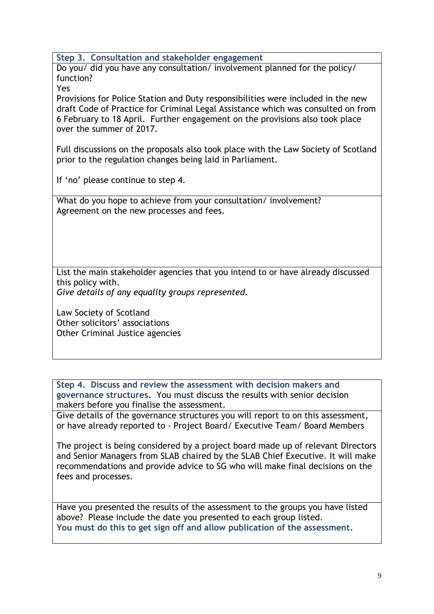**Step 3. Consultation and stakeholder engagement**

Do you/ did you have any consultation/ involvement planned for the policy/ function?

Yes

Provisions for Police Station and Duty responsibilities were included in the new draft Code of Practice for Criminal Legal Assistance which was consulted on from 6 February to 18 April. Further engagement on the provisions also took place over the summer of 2017.

Full discussions on the proposals also took place with the Law Society of Scotland prior to the regulation changes being laid in Parliament.

If 'no' please continue to step 4.

What do you hope to achieve from your consultation/ involvement? Agreement on the new processes and fees.

List the main stakeholder agencies that you intend to or have already discussed this policy with.

*Give details of any equality groups represented.*

Law Society of Scotland Other solicitors' associations Other Criminal Justice agencies

**Step 4. Discuss and review the assessment with decision makers and governance structures.** You **must** discuss the results with senior decision makers before you finalise the assessment.

Give details of the governance structures you will report to on this assessment, or have already reported to - Project Board/ Executive Team/ Board Members

The project is being considered by a project board made up of relevant Directors and Senior Managers from SLAB chaired by the SLAB Chief Executive. It will make recommendations and provide advice to SG who will make final decisions on the fees and processes.

Have you presented the results of the assessment to the groups you have listed above? Please include the date you presented to each group listed. **You must do this to get sign off and allow publication of the assessment.**